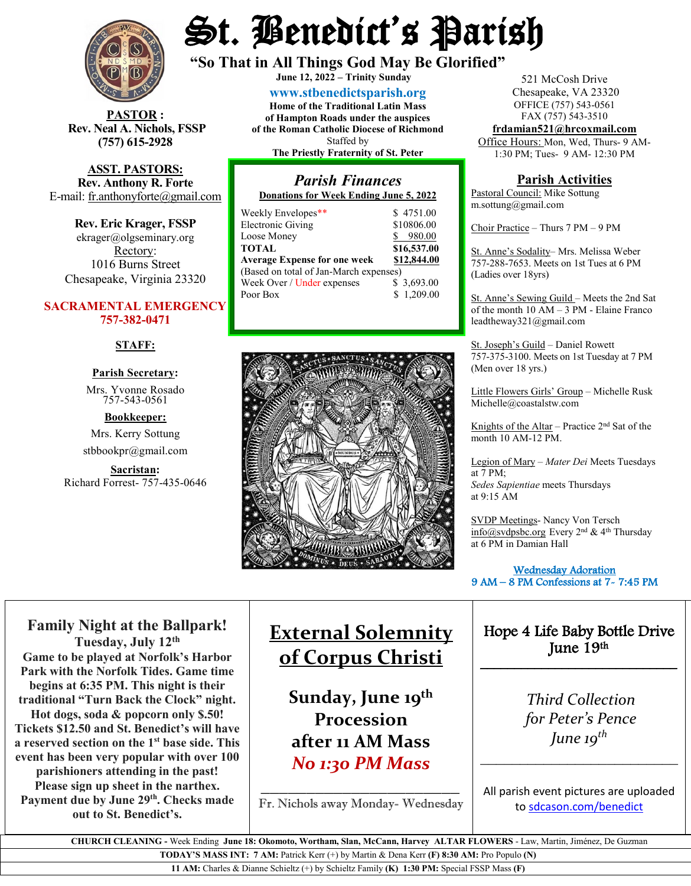

**STOR** : **Rev. Neal A. Nichols, FSSP (757) 615-2928** 

**ASST. PASTORS: Rev. Anthony R. Forte** E-mail: [fr.anthonyforte@gmail.com](mailto:fr.anthonyforte@gmail.com)

**Rev. Eric Krager, FSSP** ekrager@olgseminary.org Rectory: 1016 Burns Street Chesapeake, Virginia 23320

### **SACRAMENTAL EMERGENCY 757-382-0471**

#### **STAFF:**

#### **Parish Secretary:**

Mrs. Yvonne Rosado757-543-0561

#### **Bookkeeper:**

Mrs. Kerry Sottung stbbookpr@gmail.com

**Sacristan:**  Richard Forrest- 757-435-0646

# St. Benedict's Parish

**"So That in All Things God May Be Glorified" June 12, <sup>2022</sup> – Trinity Sunday**

**[www.stbenedictsparish.org](http://www.stbenedictsparish.org/)**

**Home of the Traditional Latin Mass of Hampton Roads under the auspices of the Roman Catholic Diocese of Richmond** Staffed by **The Priestly Fraternity of St. Peter**

# *Parish Finances*

**Donations for Week Ending June 5, 2022**

| Weekly Envelopes**                     | \$4751.00   |
|----------------------------------------|-------------|
| <b>Electronic Giving</b>               | \$10806.00  |
| Loose Money                            | \$980.00    |
| <b>TOTAL</b>                           | \$16,537.00 |
| <b>Average Expense for one week</b>    | \$12,844.00 |
| (Based on total of Jan-March expenses) |             |
| Week Over / Under expenses             | \$3,693.00  |
| Poor Box                               | \$1,209.00  |
|                                        |             |



521 McCosh Drive Chesapeake, VA 23320 OFFICE (757) 543-0561 FAX (757) 543-3510

**[frdamian521@hrcoxmail.com](mailto:frdamian521@hrcoxmail.com)** Office Hours: Mon, Wed, Thurs- 9 AM-

1:30 PM; Tues- 9 AM- 12:30 PM

## **Parish Activities**

Pastoral Council: Mike Sottung m.sottung@gmail.com

Choir Practice – Thurs 7 PM – 9 PM

St. Anne's Sodality– Mrs. Melissa Weber 757-288-7653. Meets on 1st Tues at 6 PM (Ladies over 18yrs)

St. Anne's Sewing Guild – Meets the 2nd Sat of the month 10 AM – 3 PM - Elaine Franco leadtheway321@gmail.com

St. Joseph's Guild – Daniel Rowett 757-375-3100. Meets on 1st Tuesday at 7 PM (Men over 18 yrs.)

Little Flowers Girls' Group – Michelle Rusk Michelle@coastalstw.com

Knights of the Altar – Practice  $2<sup>nd</sup>$  Sat of the month 10 AM-12 PM.

Legion of Mary – *Mater Dei* Meets Tuesdays at 7 PM; *Sedes Sapientiae* meets Thursdays at 9:15 AM

SVDP Meetings- Nancy Von Tersch [info@svdpsbc.org](mailto:info@svdpsbc.org) Every 2nd & 4th Thursday at 6 PM in Damian Hall

 Wednesday Adoration 9 AM – 8 PM Confessions at 7- 7:45 PM l

# Hope 4 Life Baby Bottle Drive June 19th

\_\_\_\_\_\_\_\_\_\_\_\_\_\_\_\_\_\_\_\_\_\_\_\_\_\_\_\_\_

*Third Collection for Peter's Pence June 19th*

 $\overline{\phantom{a}}$  , and the set of the set of the set of the set of the set of the set of the set of the set of the set of the set of the set of the set of the set of the set of the set of the set of the set of the set of the s

All parish event pictures are uploaded t[o sdcason.com/benedict](http://sdcason.com/benedict)

**Family Night at the Ballpark! Tuesday, July 12th Game to be played at Norfolk's Harbor Park with the Norfolk Tides. Game time begins at 6:35 PM. This night is their traditional "Turn Back the Clock" night. Hot dogs, soda & popcorn only \$.50! Tickets \$12.50 and St. Benedict's will have a reserved section on the 1st base side. This event has been very popular with over 100 parishioners attending in the past! Please sign up sheet in the narthex.** Payment due by June 29<sup>th</sup>. Checks made

**out to St. Benedict's.** 

# **External Solemnity of Corpus Christi**

Sunday, June 19<sup>th</sup> **Procession after 11 AM Mass**  *No 1:30 PM Mass*

*\_\_\_\_\_\_\_\_\_\_\_\_\_\_\_\_\_\_\_\_\_\_* Fr. Nichols away Monday- Wednesday

 **CHURCH CLEANING -** Week Ending **June 18: Okomoto, Wortham, Slan, McCann, Harvey ALTAR FLOWERS** - Law, Martin, Jiménez, De Guzman **TODAY'S MASS INT: 7 AM:** Patrick Kerr (+) by Martin & Dena Kerr **(F) 8:30 AM:** Pro Populo **(N)**

**11 AM:** Charles & Dianne Schieltz (+) by Schieltz Family **(K) 1:30 PM:** Special FSSP Mass **(F)**